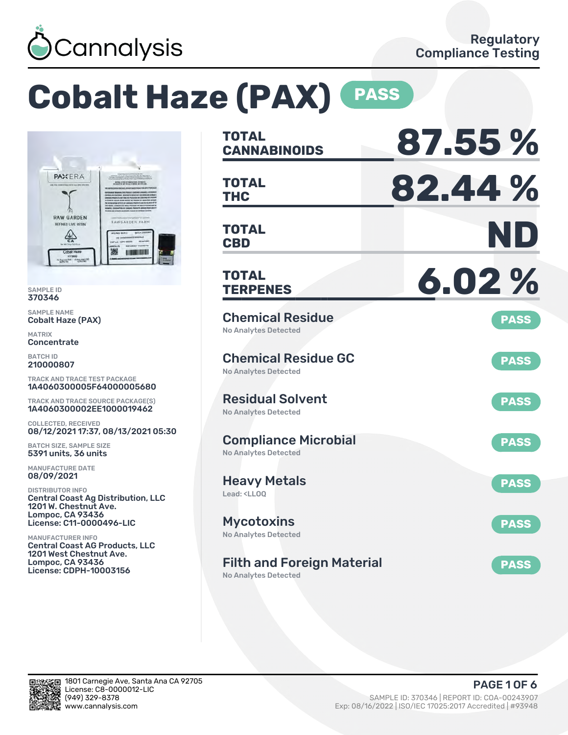

# **Cobalt Haze (PAX) PASS**



SAMPLE ID 370346

SAMPLE NAME Cobalt Haze (PAX)

MATRIX **Concentrate** 

BATCH ID 210000807

TRACK AND TRACE TEST PACKAGE 1A4060300005F64000005680

TRACK AND TRACE SOURCE PACKAGE(S) 1A4060300002EE1000019462

COLLECTED, RECEIVED 08/12/2021 17:37, 08/13/2021 05:30

BATCH SIZE, SAMPLE SIZE 5391 units, 36 units

MANUFACTURE DATE 08/09/2021

DISTRIBUTOR INFO Central Coast Ag Distribution, LLC 1201 W. Chestnut Ave. Lompoc, CA 93436 License: C11-0000496-LIC

MANUFACTURER INFO Central Coast AG Products, LLC 1201 West Chestnut Ave. Lompoc, CA 93436 License: CDPH-10003156

| <b>TOTAL</b><br><b>CANNABINOIDS</b>                                    | 87.55%      |
|------------------------------------------------------------------------|-------------|
| <b>TOTAL</b><br>THC                                                    | 82.44%      |
| <b>TOTAL</b><br><b>CBD</b>                                             | ND          |
| <b>TOTAL</b><br><b>TERPENES</b>                                        | 6.02%       |
| <b>Chemical Residue</b><br><b>No Analytes Detected</b>                 | <b>PASS</b> |
| <b>Chemical Residue GC</b><br><b>No Analytes Detected</b>              | <b>PASS</b> |
| <b>Residual Solvent</b><br><b>No Analytes Detected</b>                 | <b>PASS</b> |
| <b>Compliance Microbial</b><br>No Analytes Detected                    | <b>PASS</b> |
| <b>Heavy Metals</b><br>Lead: <ll00< td=""><td><b>PASS</b></td></ll00<> | <b>PASS</b> |
| <b>Mycotoxins</b><br>No Analytes Detected                              | <b>PASS</b> |
| <b>Filth and Foreign Material</b><br><b>No Analytes Detected</b>       | <b>PASS</b> |

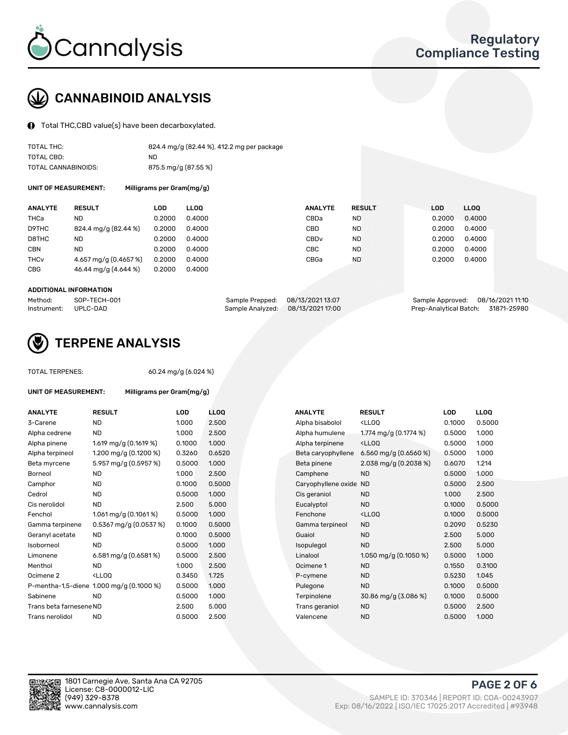

# CANNABINOID ANALYSIS

Total THC,CBD value(s) have been decarboxylated.

| TOTAL THC:          | 824.4 mg/g (82.44 %), 412.2 mg per package |
|---------------------|--------------------------------------------|
| TOTAL CBD:          | ND.                                        |
| TOTAL CANNABINOIDS: | 875.5 mg/g (87.55 %)                       |

UNIT OF MEASUREMENT: Milligrams per Gram(mg/g)

| <b>ANALYTE</b>         | <b>RESULT</b>         | LOD    | <b>LLOO</b> | <b>ANALYTE</b>   | <b>RESULT</b> | <b>LOD</b> | LL <sub>00</sub> |
|------------------------|-----------------------|--------|-------------|------------------|---------------|------------|------------------|
| THCa                   | ND                    | 0.2000 | 0.4000      | CBDa             | <b>ND</b>     | 0.2000     | 0.4000           |
| D9THC                  | 824.4 mg/g (82.44 %)  | 0.2000 | 0.4000      | CBD              | <b>ND</b>     | 0.2000     | 0.4000           |
| D8THC                  | ND                    | 0.2000 | 0.4000      | CBD <sub>v</sub> | <b>ND</b>     | 0.2000     | 0.4000           |
| <b>CBN</b>             | <b>ND</b>             | 0.2000 | 0.4000      | CBC              | <b>ND</b>     | 0.2000     | 0.4000           |
| <b>THC<sub>v</sub></b> | 4.657 mg/g (0.4657 %) | 0.2000 | 0.4000      | CBGa             | <b>ND</b>     | 0.2000     | 0.4000           |
| CBG                    | 46.44 mg/g (4.644 %)  | 0.2000 | 0.4000      |                  |               |            |                  |
|                        |                       |        |             |                  |               |            |                  |

#### ADDITIONAL INFORMATION

| Method:              | SOP-TECH-001 | Sample Prepped: 08/13/2021 13:07  | Sample Approved: 08/16/2021 11:10  |  |
|----------------------|--------------|-----------------------------------|------------------------------------|--|
| Instrument: UPLC-DAD |              | Sample Analyzed: 08/13/2021 17:00 | Prep-Analytical Batch: 31871-25980 |  |



## TERPENE ANALYSIS

TOTAL TERPENES: 60.24 mg/g (6.024 %)

| UNIT OF MEASUREMENT:    |                                                    | Milligrams per Gram(mg/g) |             |  |  |  |  |  |  |
|-------------------------|----------------------------------------------------|---------------------------|-------------|--|--|--|--|--|--|
| <b>ANALYTE</b>          | <b>RESULT</b>                                      | LOD                       | <b>LLOO</b> |  |  |  |  |  |  |
| 3-Carene                | ND.                                                | 1.000                     | 2.500       |  |  |  |  |  |  |
| Alpha cedrene           | ND.                                                | 1.000                     | 2.500       |  |  |  |  |  |  |
| Alpha pinene            | 1.619 mg/g $(0.1619%)$                             | 0.1000                    | 1.000       |  |  |  |  |  |  |
| Alpha terpineol         | 1.200 mg/g (0.1200 %)                              | 0.3260                    | 0.652       |  |  |  |  |  |  |
| Beta myrcene            | 5.957 mg/g (0.5957 %)                              | 0.5000                    | 1.000       |  |  |  |  |  |  |
| Borneol                 | <b>ND</b>                                          | 1.000                     | 2.500       |  |  |  |  |  |  |
| Camphor                 | ND.                                                | 0.1000                    | 0.500       |  |  |  |  |  |  |
| Cedrol                  | ND.                                                | 0.5000                    | 1.000       |  |  |  |  |  |  |
| Cis nerolidol           | <b>ND</b>                                          | 2.500                     | 5.000       |  |  |  |  |  |  |
| Fenchol                 | 1.061 mg/g $(0.1061\%)$                            | 0.5000                    | 1.000       |  |  |  |  |  |  |
| Gamma terpinene         | $0.5367$ mg/g (0.0537 %)                           | 0.1000                    | 0.500       |  |  |  |  |  |  |
| Geranyl acetate         | ND.                                                | 0.1000                    | 0.500       |  |  |  |  |  |  |
| Isoborneol              | ND.                                                | 0.5000                    | 1.000       |  |  |  |  |  |  |
| Limonene                | 6.581 mg/g $(0.6581\%)$                            | 0.5000                    | 2.500       |  |  |  |  |  |  |
| Menthol                 | ND.                                                | 1.000                     | 2.500       |  |  |  |  |  |  |
| Ocimene 2               | <lloo< td=""><td>0.3450</td><td>1.725</td></lloo<> | 0.3450                    | 1.725       |  |  |  |  |  |  |
|                         | P-mentha-1,5-diene 1.000 mg/g (0.1000 %)           | 0.5000                    | 1.000       |  |  |  |  |  |  |
| Sabinene                | ND.                                                | 0.5000                    | 1.000       |  |  |  |  |  |  |
| Trans beta farnesene ND |                                                    | 2.500                     | 5.000       |  |  |  |  |  |  |
| Trans nerolidol         | ND                                                 | 0.5000                    | 2.50C       |  |  |  |  |  |  |

| <b>ANALYTE</b>          | <b>RESULT</b>                                                                                                      | <b>LOD</b> | <b>LLOQ</b> | <b>ANALYTE</b>         | <b>RESULT</b>                                       | <b>LOD</b> | <b>LLOQ</b> |
|-------------------------|--------------------------------------------------------------------------------------------------------------------|------------|-------------|------------------------|-----------------------------------------------------|------------|-------------|
| 3-Carene                | <b>ND</b>                                                                                                          | 1.000      | 2.500       | Alpha bisabolol        | <ll0q< td=""><td>0.1000</td><td>0.5000</td></ll0q<> | 0.1000     | 0.5000      |
| Alpha cedrene           | <b>ND</b>                                                                                                          | 1.000      | 2.500       | Alpha humulene         | 1.774 mg/g (0.1774 %)                               | 0.5000     | 1.000       |
| Alpha pinene            | 1.619 mg/g $(0.1619%)$                                                                                             | 0.1000     | 1.000       | Alpha terpinene        | <ll0q< td=""><td>0.5000</td><td>1.000</td></ll0q<>  | 0.5000     | 1.000       |
| Alpha terpineol         | 1.200 mg/g $(0.1200\%)$                                                                                            | 0.3260     | 0.6520      | Beta caryophyllene     | 6.560 mg/g (0.6560 %)                               | 0.5000     | 1.000       |
| Beta myrcene            | 5.957 mg/g (0.5957 %)                                                                                              | 0.5000     | 1.000       | Beta pinene            | 2.038 mg/g $(0.2038\%)$                             | 0.6070     | 1.214       |
| Borneol                 | <b>ND</b>                                                                                                          | 1.000      | 2.500       | Camphene               | <b>ND</b>                                           | 0.5000     | 1.000       |
| Camphor                 | <b>ND</b>                                                                                                          | 0.1000     | 0.5000      | Caryophyllene oxide ND |                                                     | 0.5000     | 2.500       |
| Cedrol                  | <b>ND</b>                                                                                                          | 0.5000     | 1.000       | Cis geraniol           | <b>ND</b>                                           | 1.000      | 2.500       |
| Cis nerolidol           | <b>ND</b>                                                                                                          | 2.500      | 5.000       | Eucalyptol             | <b>ND</b>                                           | 0.1000     | 0.5000      |
| Fenchol                 | 1.061 mg/g $(0.1061\%)$                                                                                            | 0.5000     | 1.000       | Fenchone               | <ll0q< td=""><td>0.1000</td><td>0.5000</td></ll0q<> | 0.1000     | 0.5000      |
| Gamma terpinene         | $0.5367$ mg/g $(0.0537%)$                                                                                          | 0.1000     | 0.5000      | Gamma terpineol        | <b>ND</b>                                           | 0.2090     | 0.5230      |
| Geranyl acetate         | ND.                                                                                                                | 0.1000     | 0.5000      | Guaiol                 | <b>ND</b>                                           | 2.500      | 5.000       |
| Isoborneol              | <b>ND</b>                                                                                                          | 0.5000     | 1.000       | Isopulegol             | <b>ND</b>                                           | 2.500      | 5.000       |
| Limonene                | 6.581 mg/g (0.6581%)                                                                                               | 0.5000     | 2.500       | Linalool               | 1.050 mg/g $(0.1050\%)$                             | 0.5000     | 1.000       |
| Menthol                 | ND.                                                                                                                | 1.000      | 2.500       | Ocimene 1              | <b>ND</b>                                           | 0.1550     | 0.3100      |
| Ocimene 2               | <lloq< td=""><td>0.3450</td><td>1.725</td><td>P-cymene</td><td><b>ND</b></td><td>0.5230</td><td>1.045</td></lloq<> | 0.3450     | 1.725       | P-cymene               | <b>ND</b>                                           | 0.5230     | 1.045       |
|                         | P-mentha-1,5-diene 1.000 mg/g (0.1000 %)                                                                           | 0.5000     | 1.000       | Pulegone               | <b>ND</b>                                           | 0.1000     | 0.5000      |
| Sabinene                | <b>ND</b>                                                                                                          | 0.5000     | 1.000       | Terpinolene            | 30.86 mg/g (3.086 %)                                | 0.1000     | 0.5000      |
| Trans beta farnesene ND |                                                                                                                    | 2.500      | 5.000       | Trans geraniol         | <b>ND</b>                                           | 0.5000     | 2.500       |
| Trans nerolidol         | ND.                                                                                                                | 0.5000     | 2.500       | Valencene              | <b>ND</b>                                           | 0.5000     | 1.000       |



PAGE 2 OF 6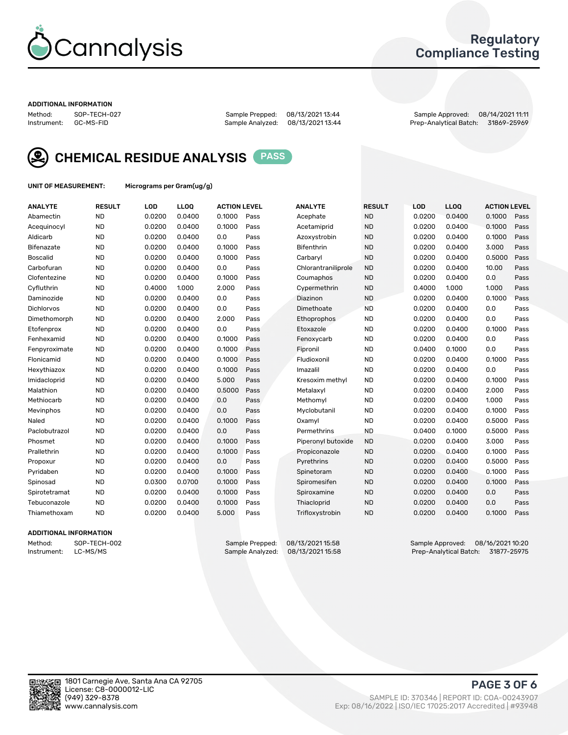

## Regulatory Compliance Testing

#### ADDITIONAL INFORMATION

Method: SOP-TECH-027 Sample Prepped: 08/13/2021 13:44 Sample Approved: 08/14/2021 11:11 Prep-Analytical Batch: 31869-25969



CHEMICAL RESIDUE ANALYSIS PASS

UNIT OF MEASUREMENT: Micrograms per Gram(ug/g)

| <b>ANALYTE</b>    | <b>RESULT</b> | LOD    | LLOQ   | <b>ACTION LEVEL</b> |      | <b>ANALYTE</b>      | <b>RESULT</b> | LOD    | <b>LLOQ</b> | <b>ACTION LEVEL</b> |      |
|-------------------|---------------|--------|--------|---------------------|------|---------------------|---------------|--------|-------------|---------------------|------|
| Abamectin         | <b>ND</b>     | 0.0200 | 0.0400 | 0.1000              | Pass | Acephate            | <b>ND</b>     | 0.0200 | 0.0400      | 0.1000              | Pass |
| Acequinocyl       | <b>ND</b>     | 0.0200 | 0.0400 | 0.1000              | Pass | Acetamiprid         | <b>ND</b>     | 0.0200 | 0.0400      | 0.1000              | Pass |
| Aldicarb          | <b>ND</b>     | 0.0200 | 0.0400 | 0.0                 | Pass | Azoxystrobin        | <b>ND</b>     | 0.0200 | 0.0400      | 0.1000              | Pass |
| Bifenazate        | <b>ND</b>     | 0.0200 | 0.0400 | 0.1000              | Pass | Bifenthrin          | <b>ND</b>     | 0.0200 | 0.0400      | 3.000               | Pass |
| <b>Boscalid</b>   | <b>ND</b>     | 0.0200 | 0.0400 | 0.1000              | Pass | Carbaryl            | <b>ND</b>     | 0.0200 | 0.0400      | 0.5000              | Pass |
| Carbofuran        | <b>ND</b>     | 0.0200 | 0.0400 | 0.0                 | Pass | Chlorantraniliprole | <b>ND</b>     | 0.0200 | 0.0400      | 10.00               | Pass |
| Clofentezine      | <b>ND</b>     | 0.0200 | 0.0400 | 0.1000              | Pass | Coumaphos           | <b>ND</b>     | 0.0200 | 0.0400      | 0.0                 | Pass |
| Cyfluthrin        | <b>ND</b>     | 0.4000 | 1.000  | 2.000               | Pass | Cypermethrin        | <b>ND</b>     | 0.4000 | 1.000       | 1.000               | Pass |
| Daminozide        | <b>ND</b>     | 0.0200 | 0.0400 | 0.0                 | Pass | Diazinon            | <b>ND</b>     | 0.0200 | 0.0400      | 0.1000              | Pass |
| <b>Dichlorvos</b> | <b>ND</b>     | 0.0200 | 0.0400 | 0.0                 | Pass | Dimethoate          | <b>ND</b>     | 0.0200 | 0.0400      | 0.0                 | Pass |
| Dimethomorph      | <b>ND</b>     | 0.0200 | 0.0400 | 2.000               | Pass | Ethoprophos         | <b>ND</b>     | 0.0200 | 0.0400      | 0.0                 | Pass |
| Etofenprox        | <b>ND</b>     | 0.0200 | 0.0400 | 0.0                 | Pass | Etoxazole           | <b>ND</b>     | 0.0200 | 0.0400      | 0.1000              | Pass |
| Fenhexamid        | <b>ND</b>     | 0.0200 | 0.0400 | 0.1000              | Pass | Fenoxycarb          | <b>ND</b>     | 0.0200 | 0.0400      | 0.0                 | Pass |
| Fenpyroximate     | <b>ND</b>     | 0.0200 | 0.0400 | 0.1000              | Pass | Fipronil            | <b>ND</b>     | 0.0400 | 0.1000      | 0.0                 | Pass |
| Flonicamid        | <b>ND</b>     | 0.0200 | 0.0400 | 0.1000              | Pass | Fludioxonil         | <b>ND</b>     | 0.0200 | 0.0400      | 0.1000              | Pass |
| Hexythiazox       | <b>ND</b>     | 0.0200 | 0.0400 | 0.1000              | Pass | Imazalil            | <b>ND</b>     | 0.0200 | 0.0400      | 0.0                 | Pass |
| Imidacloprid      | <b>ND</b>     | 0.0200 | 0.0400 | 5.000               | Pass | Kresoxim methyl     | <b>ND</b>     | 0.0200 | 0.0400      | 0.1000              | Pass |
| Malathion         | <b>ND</b>     | 0.0200 | 0.0400 | 0.5000              | Pass | Metalaxyl           | <b>ND</b>     | 0.0200 | 0.0400      | 2.000               | Pass |
| Methiocarb        | <b>ND</b>     | 0.0200 | 0.0400 | 0.0                 | Pass | Methomyl            | <b>ND</b>     | 0.0200 | 0.0400      | 1.000               | Pass |
| Mevinphos         | <b>ND</b>     | 0.0200 | 0.0400 | 0.0                 | Pass | Myclobutanil        | <b>ND</b>     | 0.0200 | 0.0400      | 0.1000              | Pass |
| Naled             | <b>ND</b>     | 0.0200 | 0.0400 | 0.1000              | Pass | Oxamyl              | <b>ND</b>     | 0.0200 | 0.0400      | 0.5000              | Pass |
| Paclobutrazol     | <b>ND</b>     | 0.0200 | 0.0400 | 0.0                 | Pass | Permethrins         | <b>ND</b>     | 0.0400 | 0.1000      | 0.5000              | Pass |
| Phosmet           | <b>ND</b>     | 0.0200 | 0.0400 | 0.1000              | Pass | Piperonyl butoxide  | <b>ND</b>     | 0.0200 | 0.0400      | 3.000               | Pass |
| Prallethrin       | <b>ND</b>     | 0.0200 | 0.0400 | 0.1000              | Pass | Propiconazole       | <b>ND</b>     | 0.0200 | 0.0400      | 0.1000              | Pass |
| Propoxur          | <b>ND</b>     | 0.0200 | 0.0400 | 0.0                 | Pass | Pyrethrins          | <b>ND</b>     | 0.0200 | 0.0400      | 0.5000              | Pass |
| Pyridaben         | <b>ND</b>     | 0.0200 | 0.0400 | 0.1000              | Pass | Spinetoram          | <b>ND</b>     | 0.0200 | 0.0400      | 0.1000              | Pass |
| Spinosad          | <b>ND</b>     | 0.0300 | 0.0700 | 0.1000              | Pass | Spiromesifen        | <b>ND</b>     | 0.0200 | 0.0400      | 0.1000              | Pass |
| Spirotetramat     | <b>ND</b>     | 0.0200 | 0.0400 | 0.1000              | Pass | Spiroxamine         | <b>ND</b>     | 0.0200 | 0.0400      | 0.0                 | Pass |
| Tebuconazole      | <b>ND</b>     | 0.0200 | 0.0400 | 0.1000              | Pass | Thiacloprid         | <b>ND</b>     | 0.0200 | 0.0400      | 0.0                 | Pass |
| Thiamethoxam      | <b>ND</b>     | 0.0200 | 0.0400 | 5.000               | Pass | Trifloxystrobin     | <b>ND</b>     | 0.0200 | 0.0400      | 0.1000              | Pass |
|                   |               |        |        |                     |      |                     |               |        |             |                     |      |

## ADDITIONAL INFORMATION

Method: SOP-TECH-002 Sample Prepped: 08/13/2021 15:58 Sample Approved: 08/16/2021 10:20<br>Instrument: LC-MS/MS Sample Analyzed: 08/13/2021 15:58 Prep-Analytical Batch: 31877-25975 Prep-Analytical Batch: 31877-25975

PAGE 3 OF 6

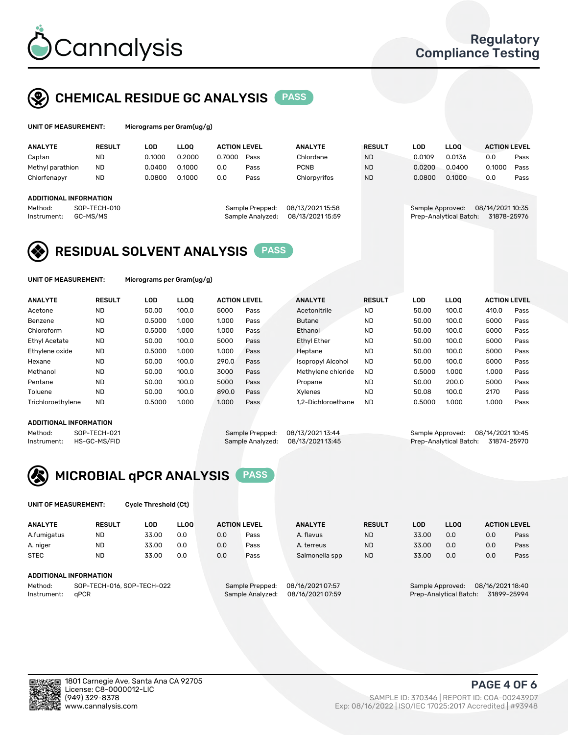

# CHEMICAL RESIDUE GC ANALYSIS PASS

| UNIT OF MEASUREMENT: | Micro |
|----------------------|-------|
|----------------------|-------|

grams per Gram(ug/g)

| <b>ANALYTE</b>         | <b>RESULT</b> | LOD    | <b>LLOO</b> | <b>ACTION LEVEL</b> |                  | <b>ANALYTE</b>   | <b>RESULT</b> | LOD              | <b>LLOO</b>            | <b>ACTION LEVEL</b> |      |
|------------------------|---------------|--------|-------------|---------------------|------------------|------------------|---------------|------------------|------------------------|---------------------|------|
| Captan                 | <b>ND</b>     | 0.1000 | 0.2000      | 0.7000              | Pass             | Chlordane        | <b>ND</b>     | 0.0109           | 0.0136                 | 0.0                 | Pass |
| Methyl parathion       | <b>ND</b>     | 0.0400 | 0.1000      | 0.0                 | Pass             | <b>PCNB</b>      | <b>ND</b>     | 0.0200           | 0.0400                 | 0.1000              | Pass |
| Chlorfenapyr           | <b>ND</b>     | 0.0800 | 0.1000      | 0.0                 | Pass             | Chlorpyrifos     | <b>ND</b>     | 0.0800           | 0.1000                 | 0.0                 | Pass |
|                        |               |        |             |                     |                  |                  |               |                  |                        |                     |      |
| ADDITIONAL INFORMATION |               |        |             |                     |                  |                  |               |                  |                        |                     |      |
| Method:                | SOP-TECH-010  |        |             |                     | Sample Prepped:  | 08/13/2021 15:58 |               | Sample Approved: |                        | 08/14/2021 10:35    |      |
| Instrument:            | GC-MS/MS      |        |             |                     | Sample Analyzed: | 08/13/2021 15:59 |               |                  | Prep-Analytical Batch: | 31878-25976         |      |
|                        |               |        |             |                     |                  |                  |               |                  |                        |                     |      |

## RESIDUAL SOLVENT ANALYSIS PASS

UNIT OF MEASUREMENT: Micrograms per Gram(ug/g)

| <b>ANALYTE</b>    | <b>RESULT</b> | LOD    | <b>LLOO</b> | <b>ACTION LEVEL</b> |      | <b>ANALYTE</b>           | <b>RESULT</b> | LOD    | LLOO  | <b>ACTION LEVEL</b> |      |
|-------------------|---------------|--------|-------------|---------------------|------|--------------------------|---------------|--------|-------|---------------------|------|
| Acetone           | <b>ND</b>     | 50.00  | 100.0       | 5000                | Pass | Acetonitrile             | <b>ND</b>     | 50.00  | 100.0 | 410.0               | Pass |
| Benzene           | <b>ND</b>     | 0.5000 | 1.000       | 1.000               | Pass | <b>Butane</b>            | <b>ND</b>     | 50.00  | 100.0 | 5000                | Pass |
| Chloroform        | <b>ND</b>     | 0.5000 | 1.000       | 1.000               | Pass | Ethanol                  | <b>ND</b>     | 50.00  | 100.0 | 5000                | Pass |
| Ethyl Acetate     | <b>ND</b>     | 50.00  | 100.0       | 5000                | Pass | <b>Ethyl Ether</b>       | <b>ND</b>     | 50.00  | 100.0 | 5000                | Pass |
| Ethylene oxide    | <b>ND</b>     | 0.5000 | 1.000       | 1.000               | Pass | Heptane                  | <b>ND</b>     | 50.00  | 100.0 | 5000                | Pass |
| Hexane            | <b>ND</b>     | 50.00  | 100.0       | 290.0               | Pass | <b>Isopropyl Alcohol</b> | <b>ND</b>     | 50.00  | 100.0 | 5000                | Pass |
| Methanol          | <b>ND</b>     | 50.00  | 100.0       | 3000                | Pass | Methylene chloride       | <b>ND</b>     | 0.5000 | 1.000 | 1.000               | Pass |
| Pentane           | <b>ND</b>     | 50.00  | 100.0       | 5000                | Pass | Propane                  | <b>ND</b>     | 50.00  | 200.0 | 5000                | Pass |
| Toluene           | <b>ND</b>     | 50.00  | 100.0       | 890.0               | Pass | Xvlenes                  | <b>ND</b>     | 50.08  | 100.0 | 2170                | Pass |
| Trichloroethylene | <b>ND</b>     | 0.5000 | 1.000       | 1.000               | Pass | 1.2-Dichloroethane       | <b>ND</b>     | 0.5000 | 1.000 | 1.000               | Pass |

## ADDITIONAL INFORMATION

Method: SOP-TECH-021 Sample Prepped: 08/13/2021 13:44 Sample Approved: 08/14/2021 10:45<br>Instrument: HS-GC-MS/FID Sample Analyzed: 08/13/2021 13:45 Prep-Analytical Batch: 31874-25970 Prep-Analytical Batch: 31874-25970



UNIT OF MEASUREMENT: Cycle Threshold (Ct)

| <b>ANALYTE</b>                        | <b>RESULT</b>          | LOD   | <b>LLOO</b> |                  | <b>ACTION LEVEL</b> | <b>ANALYTE</b> | <b>RESULT</b> | <b>LOD</b>             | <b>LLOO</b>      |             | <b>ACTION LEVEL</b> |
|---------------------------------------|------------------------|-------|-------------|------------------|---------------------|----------------|---------------|------------------------|------------------|-------------|---------------------|
| A.fumigatus                           | <b>ND</b>              | 33.00 | 0.0         | 0.0              | Pass                | A. flavus      | <b>ND</b>     | 33.00                  | 0.0              | 0.0         | Pass                |
| A. niger                              | <b>ND</b>              | 33.00 | 0.0         | 0.0              | Pass                | A. terreus     | <b>ND</b>     | 33.00                  | 0.0              | 0.0         | Pass                |
| <b>STEC</b>                           | <b>ND</b>              | 33.00 | 0.0         | 0.0              | Pass                | Salmonella spp | <b>ND</b>     | 33.00                  | 0.0              | 0.0         | Pass                |
|                                       | ADDITIONAL INFORMATION |       |             |                  |                     |                |               |                        |                  |             |                     |
| SOP-TECH-016, SOP-TECH-022<br>Method: |                        |       |             | Sample Prepped:  | 08/16/2021 07:57    |                |               | Sample Approved:       | 08/16/2021 18:40 |             |                     |
| aPCR<br>Instrument:                   |                        |       |             | Sample Analyzed: | 08/16/2021 07:59    |                |               | Prep-Analytical Batch: |                  | 31899-25994 |                     |



PAGE 4 OF 6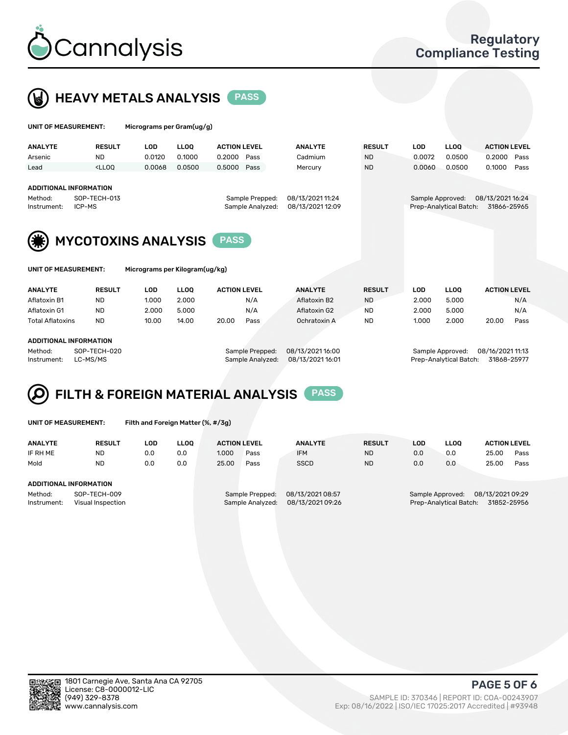



| UNIT OF MEASUREMENT:                                                              |                                                                                                                                                                             | Micrograms per Gram(ug/g)      |             |                     |                                     |                                      |               |                  |                        |                                 |      |
|-----------------------------------------------------------------------------------|-----------------------------------------------------------------------------------------------------------------------------------------------------------------------------|--------------------------------|-------------|---------------------|-------------------------------------|--------------------------------------|---------------|------------------|------------------------|---------------------------------|------|
| <b>ANALYTE</b>                                                                    | <b>RESULT</b>                                                                                                                                                               | <b>LOD</b>                     | <b>LLOO</b> | <b>ACTION LEVEL</b> |                                     | <b>ANALYTE</b>                       | <b>RESULT</b> | <b>LOD</b>       | <b>LLOQ</b>            | <b>ACTION LEVEL</b>             |      |
| Arsenic                                                                           | <b>ND</b>                                                                                                                                                                   | 0.0120                         | 0.1000      | 0.2000              | Pass                                | Cadmium                              | <b>ND</b>     | 0.0072           | 0.0500                 | 0.2000                          | Pass |
| Lead                                                                              | <ll0q< td=""><td>0.0068</td><td>0.0500</td><td>0.5000</td><td>Pass</td><td>Mercury</td><td><b>ND</b></td><td>0.0060</td><td>0.0500</td><td>0.1000</td><td>Pass</td></ll0q<> | 0.0068                         | 0.0500      | 0.5000              | Pass                                | Mercury                              | <b>ND</b>     | 0.0060           | 0.0500                 | 0.1000                          | Pass |
| <b>ADDITIONAL INFORMATION</b><br>SOP-TECH-013<br>Method:<br>ICP-MS<br>Instrument: |                                                                                                                                                                             |                                |             |                     | Sample Prepped:<br>Sample Analyzed: | 08/13/2021 11:24<br>08/13/2021 12:09 |               | Sample Approved: | Prep-Analytical Batch: | 08/13/2021 16:24<br>31866-25965 |      |
|                                                                                   |                                                                                                                                                                             |                                |             |                     |                                     |                                      |               |                  |                        |                                 |      |
|                                                                                   |                                                                                                                                                                             | <b>MYCOTOXINS ANALYSIS</b>     |             | <b>PASS</b>         |                                     |                                      |               |                  |                        |                                 |      |
| UNIT OF MEASUREMENT:                                                              |                                                                                                                                                                             | Micrograms per Kilogram(ug/kg) |             |                     |                                     |                                      |               |                  |                        |                                 |      |
| <b>ANALYTE</b>                                                                    | <b>RESULT</b>                                                                                                                                                               | <b>LOD</b>                     | <b>LLOO</b> | <b>ACTION LEVEL</b> |                                     | <b>ANALYTE</b>                       | <b>RESULT</b> | <b>LOD</b>       | <b>LLOQ</b>            | <b>ACTION LEVEL</b>             |      |
| Aflatoxin B1                                                                      | <b>ND</b>                                                                                                                                                                   | 1.000                          | 2.000       |                     | N/A                                 | Aflatoxin B2                         | <b>ND</b>     | 2.000            | 5.000                  |                                 | N/A  |
| Aflatoxin G1                                                                      | <b>ND</b>                                                                                                                                                                   | 2.000                          | 5.000       |                     | N/A                                 | Aflatoxin G2                         | <b>ND</b>     | 2.000            | 5.000                  |                                 | N/A  |
| <b>Total Aflatoxins</b>                                                           | <b>ND</b>                                                                                                                                                                   | 10.00                          | 14.00       | 20.00               | Pass                                | Ochratoxin A                         | <b>ND</b>     | 1.000            | 2.000                  | 20.00                           | Pass |
| <b>ADDITIONAL INFORMATION</b>                                                     |                                                                                                                                                                             |                                |             |                     |                                     |                                      |               |                  |                        |                                 |      |

#### ADDITIONAL INFORMATION

Method: SOP-TECH-020 Sample Prepped: 08/13/2021 16:00 Sample Approved: 08/16/2021 11:13 Instrument: LC-MS/MS Sample Analyzed: 08/13/2021 16:01 Prep-Analytical Batch: 31868-25977



UNIT OF MEASUREMENT: Filth and Foreign Matter (%, #/3g)

| <b>ANALYTE</b>                                              | <b>RESULT</b> | LOD | <b>LLOO</b> | <b>ACTION LEVEL</b>                 |      | <b>ANALYTE</b>                       | <b>RESULT</b> | LOD                                                                           | LLOO | <b>ACTION LEVEL</b> |      |
|-------------------------------------------------------------|---------------|-----|-------------|-------------------------------------|------|--------------------------------------|---------------|-------------------------------------------------------------------------------|------|---------------------|------|
| IF RH ME                                                    | <b>ND</b>     | 0.0 | 0.0         | 1.000                               | Pass | <b>IFM</b>                           | <b>ND</b>     | 0.0                                                                           | 0.0  | 25.00               | Pass |
| Mold                                                        | <b>ND</b>     | 0.0 | 0.0         | 25.00                               | Pass | <b>SSCD</b>                          | <b>ND</b>     | 0.0                                                                           | 0.0  | 25.00               | Pass |
| <b>ADDITIONAL INFORMATION</b>                               |               |     |             |                                     |      |                                      |               |                                                                               |      |                     |      |
| Method:<br>SOP-TECH-009<br>Instrument:<br>Visual Inspection |               |     |             | Sample Prepped:<br>Sample Analyzed: |      | 08/13/2021 08:57<br>08/13/2021 09:26 |               | 08/13/2021 09:29<br>Sample Approved:<br>Prep-Analytical Batch:<br>31852-25956 |      |                     |      |



PAGE 5 OF 6